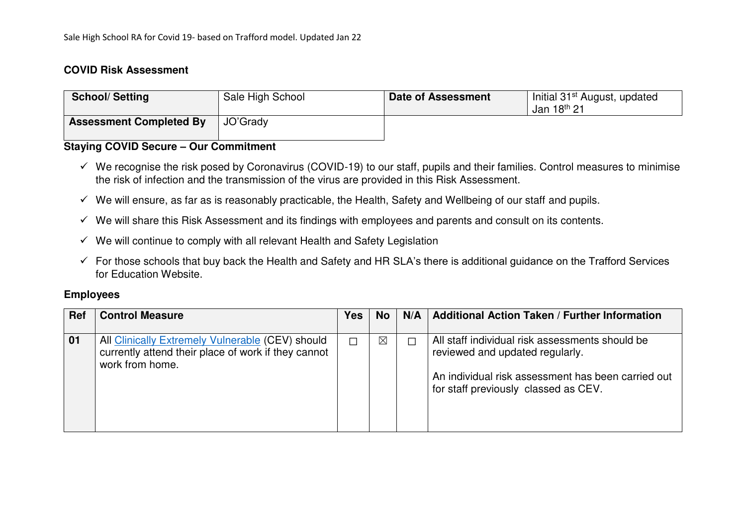### **COVID Risk Assessment**

| <b>School/Setting</b>          | Sale High School | Date of Assessment | Initial 31 <sup>st</sup> August, updated<br>Jan 18th 21 |
|--------------------------------|------------------|--------------------|---------------------------------------------------------|
| <b>Assessment Completed By</b> | JO'Grady         |                    |                                                         |

## **Staying COVID Secure – Our Commitment**

- $\checkmark$  We recognise the risk posed by Coronavirus (COVID-19) to our staff, pupils and their families. Control measures to minimise the risk of infection and the transmission of the virus are provided in this Risk Assessment.
- $\checkmark$  We will ensure, as far as is reasonably practicable, the Health, Safety and Wellbeing of our staff and pupils.
- $\checkmark$  We will share this Risk Assessment and its findings with employees and parents and consult on its contents.
- $\checkmark$  We will continue to comply with all relevant Health and Safety Legislation
- $\checkmark$  For those schools that buy back the Health and Safety and HR SLA's there is additional guidance on the Trafford Services for Education Website.

#### **Employees**

| <b>Ref</b> | <b>Control Measure</b>                                                                                                     | <b>Yes</b> | <b>No</b>   | N/A | <b>Additional Action Taken / Further Information</b>                                                                                                                             |
|------------|----------------------------------------------------------------------------------------------------------------------------|------------|-------------|-----|----------------------------------------------------------------------------------------------------------------------------------------------------------------------------------|
| 01         | All Clinically Extremely Vulnerable (CEV) should<br>currently attend their place of work if they cannot<br>work from home. | ┌          | $\boxtimes$ | Г   | All staff individual risk assessments should be<br>reviewed and updated regularly.<br>An individual risk assessment has been carried out<br>for staff previously classed as CEV. |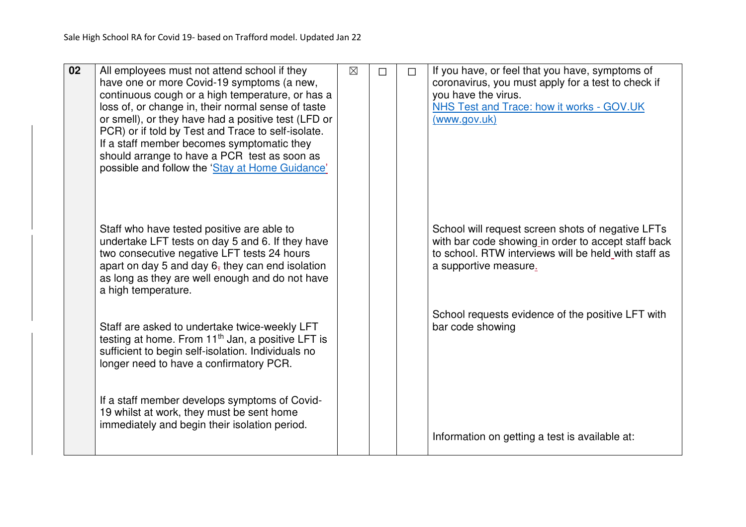| $\overline{02}$ | All employees must not attend school if they<br>have one or more Covid-19 symptoms (a new,<br>continuous cough or a high temperature, or has a<br>loss of, or change in, their normal sense of taste<br>or smell), or they have had a positive test (LFD or<br>PCR) or if told by Test and Trace to self-isolate.<br>If a staff member becomes symptomatic they<br>should arrange to have a PCR test as soon as<br>possible and follow the 'Stay at Home Guidance' | $\boxtimes$ | П | $\Box$ | If you have, or feel that you have, symptoms of<br>coronavirus, you must apply for a test to check if<br>you have the virus.<br>NHS Test and Trace: how it works - GOV.UK<br>(www.gov.uk) |
|-----------------|--------------------------------------------------------------------------------------------------------------------------------------------------------------------------------------------------------------------------------------------------------------------------------------------------------------------------------------------------------------------------------------------------------------------------------------------------------------------|-------------|---|--------|-------------------------------------------------------------------------------------------------------------------------------------------------------------------------------------------|
|                 | Staff who have tested positive are able to<br>undertake LFT tests on day 5 and 6. If they have<br>two consecutive negative LFT tests 24 hours<br>apart on day 5 and day $67$ they can end isolation<br>as long as they are well enough and do not have<br>a high temperature.                                                                                                                                                                                      |             |   |        | School will request screen shots of negative LFTs<br>with bar code showing in order to accept staff back<br>to school. RTW interviews will be held with staff as<br>a supportive measure. |
|                 | Staff are asked to undertake twice-weekly LFT<br>testing at home. From 11 <sup>th</sup> Jan, a positive LFT is<br>sufficient to begin self-isolation. Individuals no<br>longer need to have a confirmatory PCR.                                                                                                                                                                                                                                                    |             |   |        | School requests evidence of the positive LFT with<br>bar code showing                                                                                                                     |
|                 | If a staff member develops symptoms of Covid-<br>19 whilst at work, they must be sent home<br>immediately and begin their isolation period.                                                                                                                                                                                                                                                                                                                        |             |   |        | Information on getting a test is available at:                                                                                                                                            |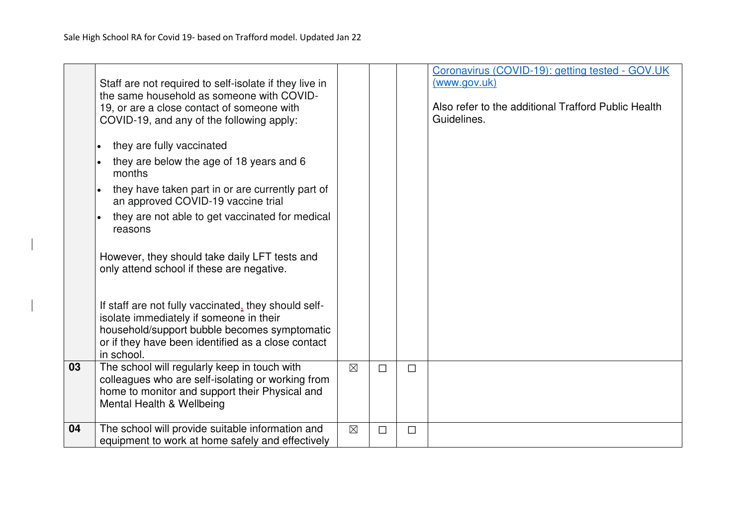|    | Staff are not required to self-isolate if they live in<br>the same household as someone with COVID-<br>19, or are a close contact of someone with<br>COVID-19, and any of the following apply:<br>they are fully vaccinated<br>they are below the age of 18 years and 6<br>months<br>they have taken part in or are currently part of<br>$\bullet$<br>an approved COVID-19 vaccine trial<br>they are not able to get vaccinated for medical<br>reasons<br>However, they should take daily LFT tests and<br>only attend school if these are negative.<br>If staff are not fully vaccinated, they should self-<br>isolate immediately if someone in their<br>household/support bubble becomes symptomatic<br>or if they have been identified as a close contact |             |        |        | Coronavirus (COVID-19): getting tested - GOV.UK<br>(www.gov.uk)<br>Also refer to the additional Trafford Public Health<br>Guidelines. |
|----|---------------------------------------------------------------------------------------------------------------------------------------------------------------------------------------------------------------------------------------------------------------------------------------------------------------------------------------------------------------------------------------------------------------------------------------------------------------------------------------------------------------------------------------------------------------------------------------------------------------------------------------------------------------------------------------------------------------------------------------------------------------|-------------|--------|--------|---------------------------------------------------------------------------------------------------------------------------------------|
|    | in school.                                                                                                                                                                                                                                                                                                                                                                                                                                                                                                                                                                                                                                                                                                                                                    |             |        |        |                                                                                                                                       |
| 03 | The school will regularly keep in touch with<br>colleagues who are self-isolating or working from<br>home to monitor and support their Physical and<br>Mental Health & Wellbeing                                                                                                                                                                                                                                                                                                                                                                                                                                                                                                                                                                              | $\boxtimes$ | $\Box$ | $\Box$ |                                                                                                                                       |
| 04 | The school will provide suitable information and<br>equipment to work at home safely and effectively                                                                                                                                                                                                                                                                                                                                                                                                                                                                                                                                                                                                                                                          | $\boxtimes$ | $\Box$ | $\Box$ |                                                                                                                                       |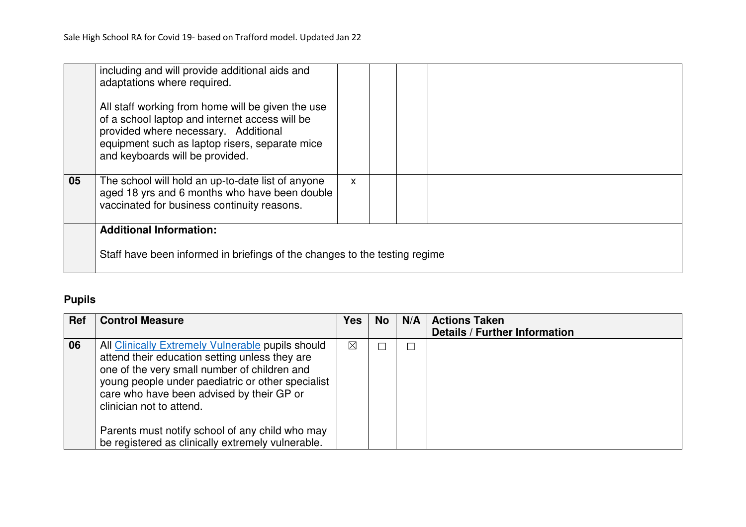|    | including and will provide additional aids and<br>adaptations where required.                                                                                                                                                    |    |  |  |
|----|----------------------------------------------------------------------------------------------------------------------------------------------------------------------------------------------------------------------------------|----|--|--|
|    | All staff working from home will be given the use<br>of a school laptop and internet access will be<br>provided where necessary. Additional<br>equipment such as laptop risers, separate mice<br>and keyboards will be provided. |    |  |  |
| 05 | The school will hold an up-to-date list of anyone<br>aged 18 yrs and 6 months who have been double<br>vaccinated for business continuity reasons.                                                                                | X. |  |  |
|    | <b>Additional Information:</b><br>Staff have been informed in briefings of the changes to the testing regime                                                                                                                     |    |  |  |

## **Pupils**

| <b>Ref</b> | <b>Control Measure</b>                                                                                                                                                                                                                                                            | <b>Yes</b>  | <b>No</b> | N/A | <b>Actions Taken</b>                 |
|------------|-----------------------------------------------------------------------------------------------------------------------------------------------------------------------------------------------------------------------------------------------------------------------------------|-------------|-----------|-----|--------------------------------------|
|            |                                                                                                                                                                                                                                                                                   |             |           |     | <b>Details / Further Information</b> |
| 06         | All Clinically Extremely Vulnerable pupils should<br>attend their education setting unless they are<br>one of the very small number of children and<br>young people under paediatric or other specialist<br>care who have been advised by their GP or<br>clinician not to attend. | $\boxtimes$ |           | 囗   |                                      |
|            | Parents must notify school of any child who may<br>be registered as clinically extremely vulnerable.                                                                                                                                                                              |             |           |     |                                      |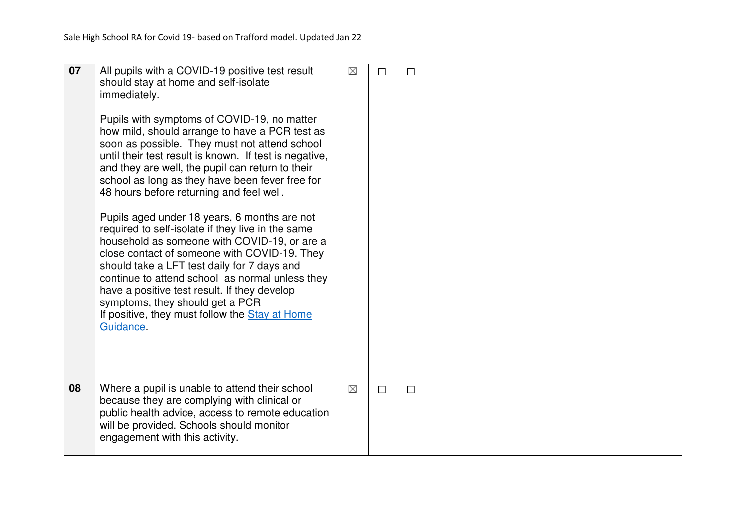| 07 | All pupils with a COVID-19 positive test result<br>should stay at home and self-isolate<br>immediately.<br>Pupils with symptoms of COVID-19, no matter<br>how mild, should arrange to have a PCR test as<br>soon as possible. They must not attend school<br>until their test result is known. If test is negative,<br>and they are well, the pupil can return to their<br>school as long as they have been fever free for<br>48 hours before returning and feel well.<br>Pupils aged under 18 years, 6 months are not<br>required to self-isolate if they live in the same<br>household as someone with COVID-19, or are a<br>close contact of someone with COVID-19. They<br>should take a LFT test daily for 7 days and<br>continue to attend school as normal unless they<br>have a positive test result. If they develop<br>symptoms, they should get a PCR<br>If positive, they must follow the <b>Stay at Home</b><br>Guidance. | $\boxtimes$ | $\Box$ | $\Box$ |  |
|----|----------------------------------------------------------------------------------------------------------------------------------------------------------------------------------------------------------------------------------------------------------------------------------------------------------------------------------------------------------------------------------------------------------------------------------------------------------------------------------------------------------------------------------------------------------------------------------------------------------------------------------------------------------------------------------------------------------------------------------------------------------------------------------------------------------------------------------------------------------------------------------------------------------------------------------------|-------------|--------|--------|--|
|    |                                                                                                                                                                                                                                                                                                                                                                                                                                                                                                                                                                                                                                                                                                                                                                                                                                                                                                                                        |             |        |        |  |
| 08 | Where a pupil is unable to attend their school<br>because they are complying with clinical or<br>public health advice, access to remote education<br>will be provided. Schools should monitor<br>engagement with this activity.                                                                                                                                                                                                                                                                                                                                                                                                                                                                                                                                                                                                                                                                                                        | $\boxtimes$ | $\Box$ | $\Box$ |  |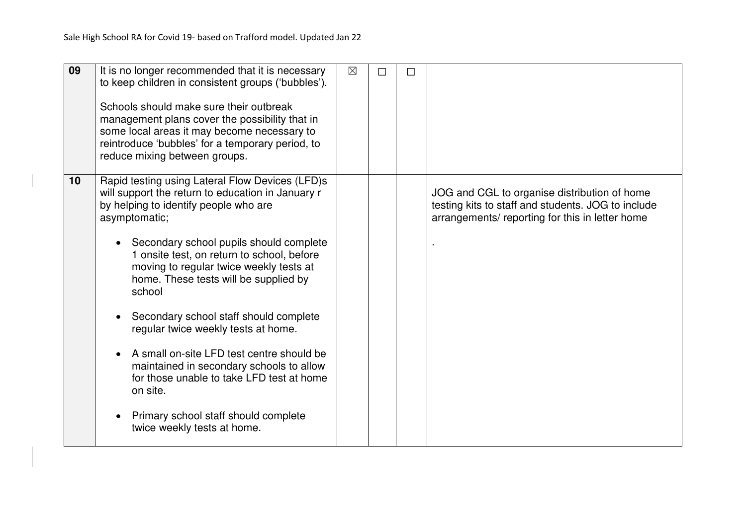| 09 | It is no longer recommended that it is necessary<br>to keep children in consistent groups ('bubbles').<br>Schools should make sure their outbreak<br>management plans cover the possibility that in<br>some local areas it may become necessary to<br>reintroduce 'bubbles' for a temporary period, to<br>reduce mixing between groups.                                                                                                                                                                                                                                                                                                                         | $\boxtimes$ | $\Box$ | $\Box$ |                                                                                                                                                      |
|----|-----------------------------------------------------------------------------------------------------------------------------------------------------------------------------------------------------------------------------------------------------------------------------------------------------------------------------------------------------------------------------------------------------------------------------------------------------------------------------------------------------------------------------------------------------------------------------------------------------------------------------------------------------------------|-------------|--------|--------|------------------------------------------------------------------------------------------------------------------------------------------------------|
| 10 | Rapid testing using Lateral Flow Devices (LFD)s<br>will support the return to education in January r<br>by helping to identify people who are<br>asymptomatic;<br>Secondary school pupils should complete<br>1 onsite test, on return to school, before<br>moving to regular twice weekly tests at<br>home. These tests will be supplied by<br>school<br>Secondary school staff should complete<br>regular twice weekly tests at home.<br>A small on-site LFD test centre should be<br>maintained in secondary schools to allow<br>for those unable to take LFD test at home<br>on site.<br>Primary school staff should complete<br>twice weekly tests at home. |             |        |        | JOG and CGL to organise distribution of home<br>testing kits to staff and students. JOG to include<br>arrangements/reporting for this in letter home |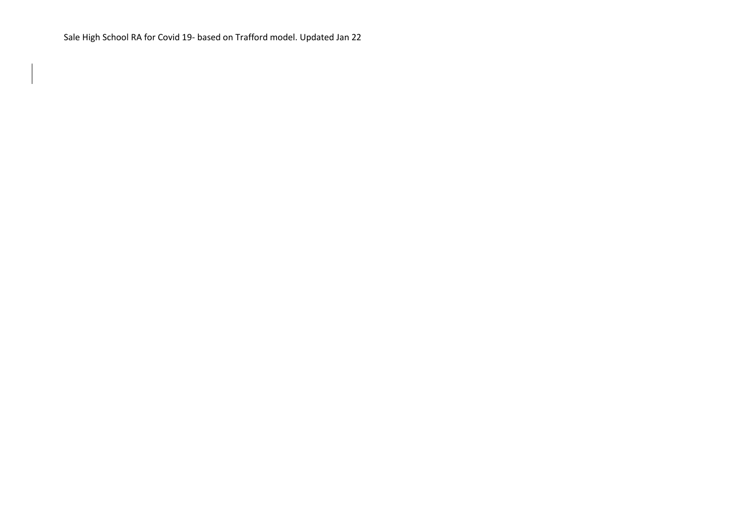Sale High School RA for Covid 19- based on Trafford model. Updated Jan 22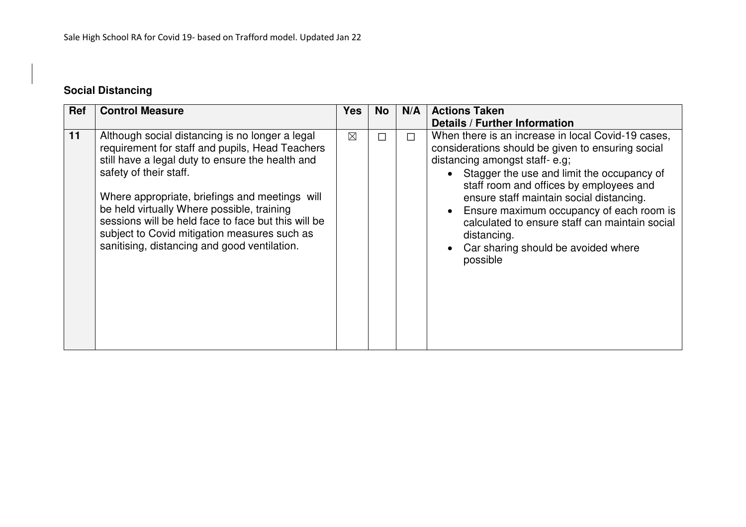# **Social Distancing**

| <b>Ref</b> | <b>Control Measure</b>                                                                                                                                                                                                                                                                                                                                                                                                                  | <b>Yes</b>  | <b>No</b> | N/A    | <b>Actions Taken</b>                                                                                                                                                                                                                                                                                                                                                                                                                                                      |
|------------|-----------------------------------------------------------------------------------------------------------------------------------------------------------------------------------------------------------------------------------------------------------------------------------------------------------------------------------------------------------------------------------------------------------------------------------------|-------------|-----------|--------|---------------------------------------------------------------------------------------------------------------------------------------------------------------------------------------------------------------------------------------------------------------------------------------------------------------------------------------------------------------------------------------------------------------------------------------------------------------------------|
|            |                                                                                                                                                                                                                                                                                                                                                                                                                                         |             |           |        | <b>Details / Further Information</b>                                                                                                                                                                                                                                                                                                                                                                                                                                      |
| 11         | Although social distancing is no longer a legal<br>requirement for staff and pupils, Head Teachers<br>still have a legal duty to ensure the health and<br>safety of their staff.<br>Where appropriate, briefings and meetings will<br>be held virtually Where possible, training<br>sessions will be held face to face but this will be<br>subject to Covid mitigation measures such as<br>sanitising, distancing and good ventilation. | $\boxtimes$ | $\Box$    | $\Box$ | When there is an increase in local Covid-19 cases,<br>considerations should be given to ensuring social<br>distancing amongst staff-e.g;<br>• Stagger the use and limit the occupancy of<br>staff room and offices by employees and<br>ensure staff maintain social distancing.<br>Ensure maximum occupancy of each room is<br>$\bullet$<br>calculated to ensure staff can maintain social<br>distancing.<br>Car sharing should be avoided where<br>$\bullet$<br>possible |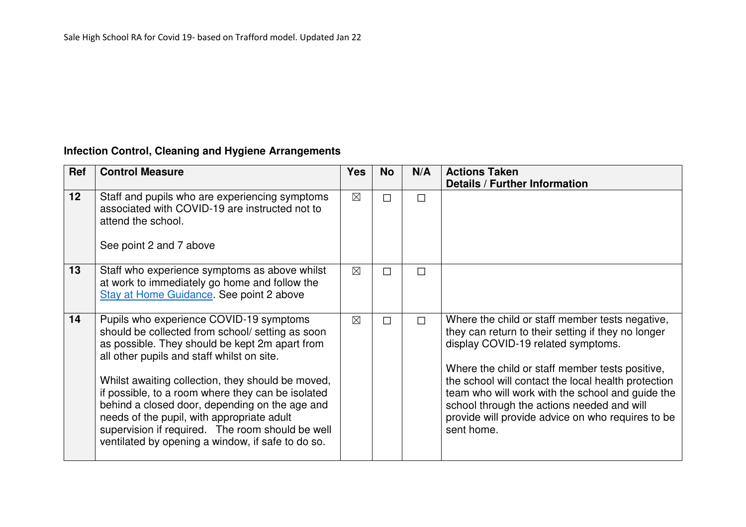## **Infection Control, Cleaning and Hygiene Arrangements**

| Ref | <b>Control Measure</b>                                                                                                                                                                                                                                                                                                                                                                                                                                                                                         | <b>Yes</b>  | <b>No</b> | N/A    | <b>Actions Taken</b><br><b>Details / Further Information</b>                                                                                                                                                                                                                                                                                                                                                               |
|-----|----------------------------------------------------------------------------------------------------------------------------------------------------------------------------------------------------------------------------------------------------------------------------------------------------------------------------------------------------------------------------------------------------------------------------------------------------------------------------------------------------------------|-------------|-----------|--------|----------------------------------------------------------------------------------------------------------------------------------------------------------------------------------------------------------------------------------------------------------------------------------------------------------------------------------------------------------------------------------------------------------------------------|
| 12  | Staff and pupils who are experiencing symptoms<br>associated with COVID-19 are instructed not to<br>attend the school.<br>See point 2 and 7 above                                                                                                                                                                                                                                                                                                                                                              | $\boxtimes$ | П         | П      |                                                                                                                                                                                                                                                                                                                                                                                                                            |
| 13  | Staff who experience symptoms as above whilst<br>at work to immediately go home and follow the<br>Stay at Home Guidance. See point 2 above                                                                                                                                                                                                                                                                                                                                                                     | $\times$    | П         | $\Box$ |                                                                                                                                                                                                                                                                                                                                                                                                                            |
| 14  | Pupils who experience COVID-19 symptoms<br>should be collected from school/ setting as soon<br>as possible. They should be kept 2m apart from<br>all other pupils and staff whilst on site.<br>Whilst awaiting collection, they should be moved,<br>if possible, to a room where they can be isolated<br>behind a closed door, depending on the age and<br>needs of the pupil, with appropriate adult<br>supervision if required. The room should be well<br>ventilated by opening a window, if safe to do so. | $\times$    | □         | П      | Where the child or staff member tests negative,<br>they can return to their setting if they no longer<br>display COVID-19 related symptoms.<br>Where the child or staff member tests positive,<br>the school will contact the local health protection<br>team who will work with the school and guide the<br>school through the actions needed and will<br>provide will provide advice on who requires to be<br>sent home. |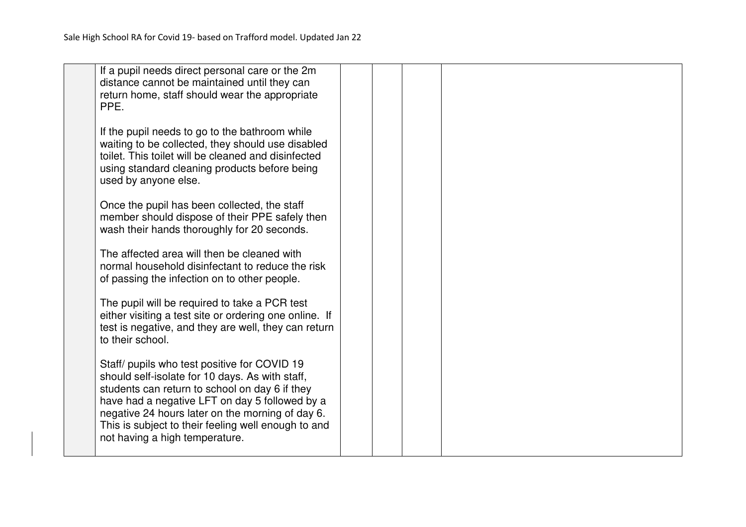| If a pupil needs direct personal care or the 2m<br>distance cannot be maintained until they can                                                                                                                                     |  |  |
|-------------------------------------------------------------------------------------------------------------------------------------------------------------------------------------------------------------------------------------|--|--|
| return home, staff should wear the appropriate                                                                                                                                                                                      |  |  |
| PPE.                                                                                                                                                                                                                                |  |  |
| If the pupil needs to go to the bathroom while<br>waiting to be collected, they should use disabled<br>toilet. This toilet will be cleaned and disinfected<br>using standard cleaning products before being<br>used by anyone else. |  |  |
| Once the pupil has been collected, the staff                                                                                                                                                                                        |  |  |
| member should dispose of their PPE safely then<br>wash their hands thoroughly for 20 seconds.                                                                                                                                       |  |  |
| The affected area will then be cleaned with                                                                                                                                                                                         |  |  |
| normal household disinfectant to reduce the risk<br>of passing the infection on to other people.                                                                                                                                    |  |  |
| The pupil will be required to take a PCR test                                                                                                                                                                                       |  |  |
| either visiting a test site or ordering one online. If<br>test is negative, and they are well, they can return                                                                                                                      |  |  |
| to their school.                                                                                                                                                                                                                    |  |  |
| Staff/ pupils who test positive for COVID 19                                                                                                                                                                                        |  |  |
| should self-isolate for 10 days. As with staff,<br>students can return to school on day 6 if they                                                                                                                                   |  |  |
| have had a negative LFT on day 5 followed by a                                                                                                                                                                                      |  |  |
| negative 24 hours later on the morning of day 6.<br>This is subject to their feeling well enough to and                                                                                                                             |  |  |
| not having a high temperature.                                                                                                                                                                                                      |  |  |
|                                                                                                                                                                                                                                     |  |  |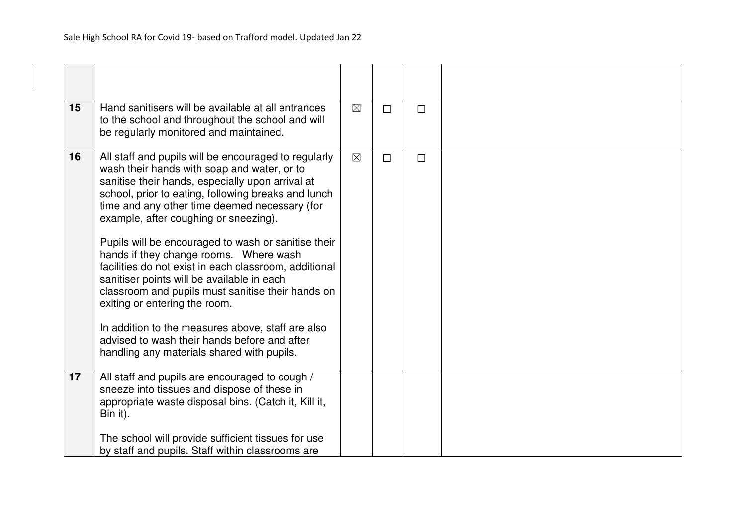| 15 | Hand sanitisers will be available at all entrances<br>to the school and throughout the school and will<br>be regularly monitored and maintained.                                                                                                                                                                                                                                                                                                                                                                                                                                                                                                                                                                                                          | $\boxtimes$ | П      | $\Box$ |  |
|----|-----------------------------------------------------------------------------------------------------------------------------------------------------------------------------------------------------------------------------------------------------------------------------------------------------------------------------------------------------------------------------------------------------------------------------------------------------------------------------------------------------------------------------------------------------------------------------------------------------------------------------------------------------------------------------------------------------------------------------------------------------------|-------------|--------|--------|--|
| 16 | All staff and pupils will be encouraged to regularly<br>wash their hands with soap and water, or to<br>sanitise their hands, especially upon arrival at<br>school, prior to eating, following breaks and lunch<br>time and any other time deemed necessary (for<br>example, after coughing or sneezing).<br>Pupils will be encouraged to wash or sanitise their<br>hands if they change rooms. Where wash<br>facilities do not exist in each classroom, additional<br>sanitiser points will be available in each<br>classroom and pupils must sanitise their hands on<br>exiting or entering the room.<br>In addition to the measures above, staff are also<br>advised to wash their hands before and after<br>handling any materials shared with pupils. | $\boxtimes$ | $\Box$ | $\Box$ |  |
| 17 | All staff and pupils are encouraged to cough /<br>sneeze into tissues and dispose of these in<br>appropriate waste disposal bins. (Catch it, Kill it,<br>Bin it).<br>The school will provide sufficient tissues for use<br>by staff and pupils. Staff within classrooms are                                                                                                                                                                                                                                                                                                                                                                                                                                                                               |             |        |        |  |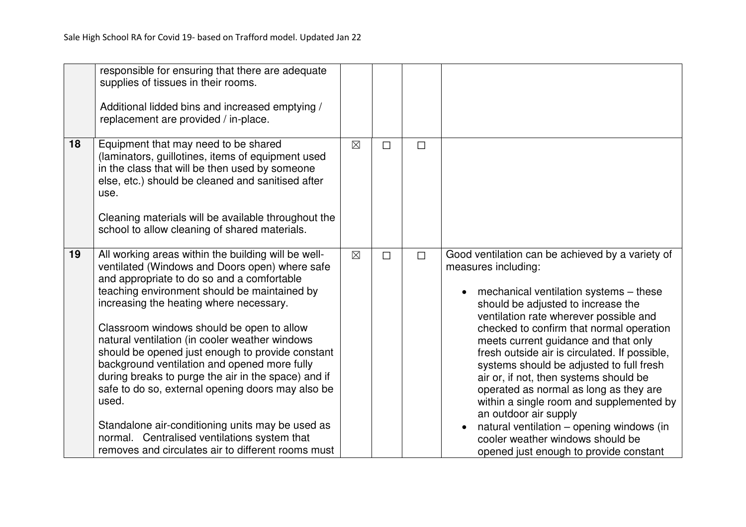|    | responsible for ensuring that there are adequate<br>supplies of tissues in their rooms.<br>Additional lidded bins and increased emptying /<br>replacement are provided / in-place.                                                                                                                                                                                                                                                                                                                                                                                                                                                                                                                                               |             |        |        |                                                                                                                                                                                                                                                                                                                                                                                                                                                                                                                                                                                                                                                                                     |
|----|----------------------------------------------------------------------------------------------------------------------------------------------------------------------------------------------------------------------------------------------------------------------------------------------------------------------------------------------------------------------------------------------------------------------------------------------------------------------------------------------------------------------------------------------------------------------------------------------------------------------------------------------------------------------------------------------------------------------------------|-------------|--------|--------|-------------------------------------------------------------------------------------------------------------------------------------------------------------------------------------------------------------------------------------------------------------------------------------------------------------------------------------------------------------------------------------------------------------------------------------------------------------------------------------------------------------------------------------------------------------------------------------------------------------------------------------------------------------------------------------|
| 18 | Equipment that may need to be shared<br>(laminators, guillotines, items of equipment used<br>in the class that will be then used by someone<br>else, etc.) should be cleaned and sanitised after<br>use.<br>Cleaning materials will be available throughout the<br>school to allow cleaning of shared materials.                                                                                                                                                                                                                                                                                                                                                                                                                 | $\boxtimes$ | $\Box$ | $\Box$ |                                                                                                                                                                                                                                                                                                                                                                                                                                                                                                                                                                                                                                                                                     |
| 19 | All working areas within the building will be well-<br>ventilated (Windows and Doors open) where safe<br>and appropriate to do so and a comfortable<br>teaching environment should be maintained by<br>increasing the heating where necessary.<br>Classroom windows should be open to allow<br>natural ventilation (in cooler weather windows<br>should be opened just enough to provide constant<br>background ventilation and opened more fully<br>during breaks to purge the air in the space) and if<br>safe to do so, external opening doors may also be<br>used.<br>Standalone air-conditioning units may be used as<br>normal. Centralised ventilations system that<br>removes and circulates air to different rooms must | $\boxtimes$ | $\Box$ | $\Box$ | Good ventilation can be achieved by a variety of<br>measures including:<br>mechanical ventilation systems – these<br>$\bullet$<br>should be adjusted to increase the<br>ventilation rate wherever possible and<br>checked to confirm that normal operation<br>meets current guidance and that only<br>fresh outside air is circulated. If possible,<br>systems should be adjusted to full fresh<br>air or, if not, then systems should be<br>operated as normal as long as they are<br>within a single room and supplemented by<br>an outdoor air supply<br>natural ventilation - opening windows (in<br>cooler weather windows should be<br>opened just enough to provide constant |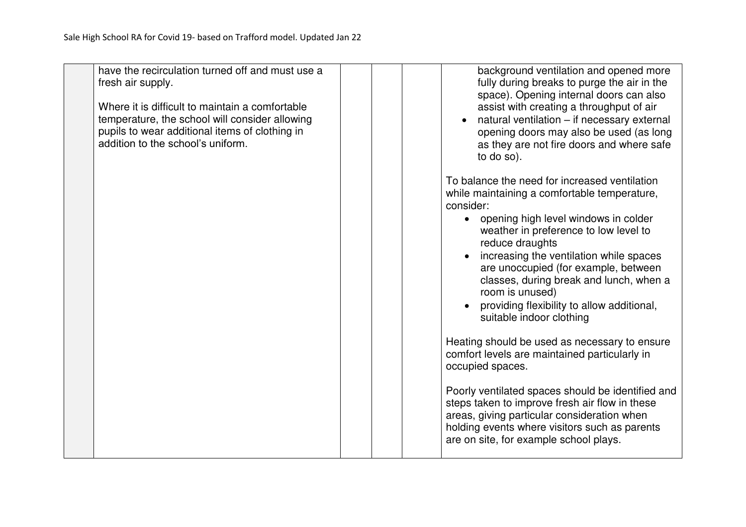| have the recirculation turned off and must use a<br>fresh air supply.<br>Where it is difficult to maintain a comfortable<br>temperature, the school will consider allowing<br>pupils to wear additional items of clothing in<br>addition to the school's uniform. | background ventilation and opened more<br>fully during breaks to purge the air in the<br>space). Opening internal doors can also<br>assist with creating a throughput of air<br>natural ventilation - if necessary external<br>opening doors may also be used (as long<br>as they are not fire doors and where safe<br>to do so).                                                                                                                                                                                                                                                                                                                                        |
|-------------------------------------------------------------------------------------------------------------------------------------------------------------------------------------------------------------------------------------------------------------------|--------------------------------------------------------------------------------------------------------------------------------------------------------------------------------------------------------------------------------------------------------------------------------------------------------------------------------------------------------------------------------------------------------------------------------------------------------------------------------------------------------------------------------------------------------------------------------------------------------------------------------------------------------------------------|
|                                                                                                                                                                                                                                                                   | To balance the need for increased ventilation<br>while maintaining a comfortable temperature,<br>consider:<br>• opening high level windows in colder<br>weather in preference to low level to<br>reduce draughts<br>increasing the ventilation while spaces<br>are unoccupied (for example, between<br>classes, during break and lunch, when a<br>room is unused)<br>providing flexibility to allow additional,<br>suitable indoor clothing<br>Heating should be used as necessary to ensure<br>comfort levels are maintained particularly in<br>occupied spaces.<br>Poorly ventilated spaces should be identified and<br>steps taken to improve fresh air flow in these |
|                                                                                                                                                                                                                                                                   | areas, giving particular consideration when<br>holding events where visitors such as parents<br>are on site, for example school plays.                                                                                                                                                                                                                                                                                                                                                                                                                                                                                                                                   |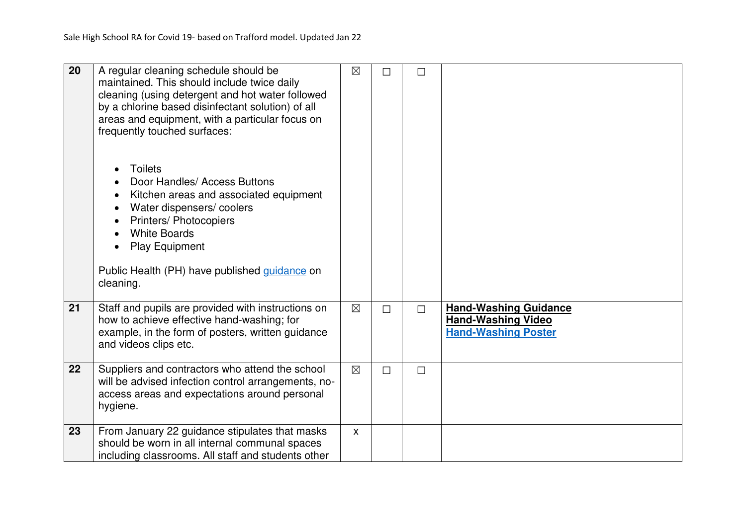| 20 | A regular cleaning schedule should be<br>maintained. This should include twice daily<br>cleaning (using detergent and hot water followed<br>by a chlorine based disinfectant solution) of all<br>areas and equipment, with a particular focus on<br>frequently touched surfaces:<br><b>Toilets</b><br>Door Handles/ Access Buttons<br>Kitchen areas and associated equipment<br>Water dispensers/coolers<br><b>Printers/ Photocopiers</b><br><b>White Boards</b><br><b>Play Equipment</b><br>Public Health (PH) have published guidance on<br>cleaning. | $\boxtimes$  | П      | $\Box$ |                                                                                         |
|----|---------------------------------------------------------------------------------------------------------------------------------------------------------------------------------------------------------------------------------------------------------------------------------------------------------------------------------------------------------------------------------------------------------------------------------------------------------------------------------------------------------------------------------------------------------|--------------|--------|--------|-----------------------------------------------------------------------------------------|
| 21 | Staff and pupils are provided with instructions on<br>how to achieve effective hand-washing; for<br>example, in the form of posters, written guidance<br>and videos clips etc.                                                                                                                                                                                                                                                                                                                                                                          | $\times$     | $\Box$ | $\Box$ | <b>Hand-Washing Guidance</b><br><b>Hand-Washing Video</b><br><b>Hand-Washing Poster</b> |
| 22 | Suppliers and contractors who attend the school<br>will be advised infection control arrangements, no-<br>access areas and expectations around personal<br>hygiene.                                                                                                                                                                                                                                                                                                                                                                                     | $\boxtimes$  | $\Box$ | $\Box$ |                                                                                         |
| 23 | From January 22 guidance stipulates that masks<br>should be worn in all internal communal spaces<br>including classrooms. All staff and students other                                                                                                                                                                                                                                                                                                                                                                                                  | $\mathsf{x}$ |        |        |                                                                                         |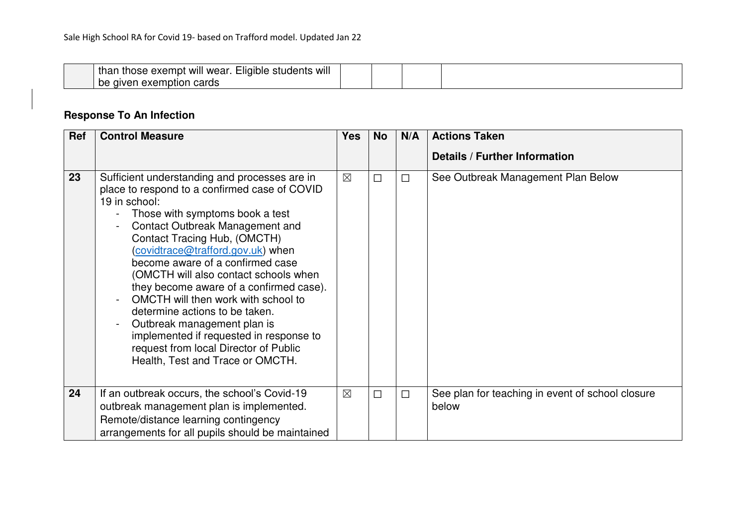| .<br><br>$- \cdot \cdot$<br><br>thar<br>will<br>liqible_<br>students<br>WII<br>wear<br>tnose<br>exempt<br>$\sim$ $\sim$ $\sim$ $\sim$<br>aiver<br>рe<br>VQ.<br>caros<br>mplior<br><b>GVQI</b> |  |  |  |
|-----------------------------------------------------------------------------------------------------------------------------------------------------------------------------------------------|--|--|--|
|-----------------------------------------------------------------------------------------------------------------------------------------------------------------------------------------------|--|--|--|

# **Response To An Infection**

| Ref | <b>Control Measure</b>                                                                                                                                                                                                                                                                                                                                                                                                                                                                                                                                                                                                    | <b>Yes</b>  | <b>No</b> | N/A    | <b>Actions Taken</b>                                      |
|-----|---------------------------------------------------------------------------------------------------------------------------------------------------------------------------------------------------------------------------------------------------------------------------------------------------------------------------------------------------------------------------------------------------------------------------------------------------------------------------------------------------------------------------------------------------------------------------------------------------------------------------|-------------|-----------|--------|-----------------------------------------------------------|
|     |                                                                                                                                                                                                                                                                                                                                                                                                                                                                                                                                                                                                                           |             |           |        | <b>Details / Further Information</b>                      |
| 23  | Sufficient understanding and processes are in<br>place to respond to a confirmed case of COVID<br>19 in school:<br>Those with symptoms book a test<br><b>Contact Outbreak Management and</b><br>Contact Tracing Hub, (OMCTH)<br>(covidtrace@trafford.gov.uk) when<br>become aware of a confirmed case<br>(OMCTH will also contact schools when<br>they become aware of a confirmed case).<br>OMCTH will then work with school to<br>determine actions to be taken.<br>Outbreak management plan is<br>implemented if requested in response to<br>request from local Director of Public<br>Health, Test and Trace or OMCTH. | $\boxtimes$ | $\Box$    | $\Box$ | See Outbreak Management Plan Below                        |
| 24  | If an outbreak occurs, the school's Covid-19<br>outbreak management plan is implemented.                                                                                                                                                                                                                                                                                                                                                                                                                                                                                                                                  | $\boxtimes$ | $\Box$    | $\Box$ | See plan for teaching in event of school closure<br>below |
|     | Remote/distance learning contingency                                                                                                                                                                                                                                                                                                                                                                                                                                                                                                                                                                                      |             |           |        |                                                           |
|     | arrangements for all pupils should be maintained                                                                                                                                                                                                                                                                                                                                                                                                                                                                                                                                                                          |             |           |        |                                                           |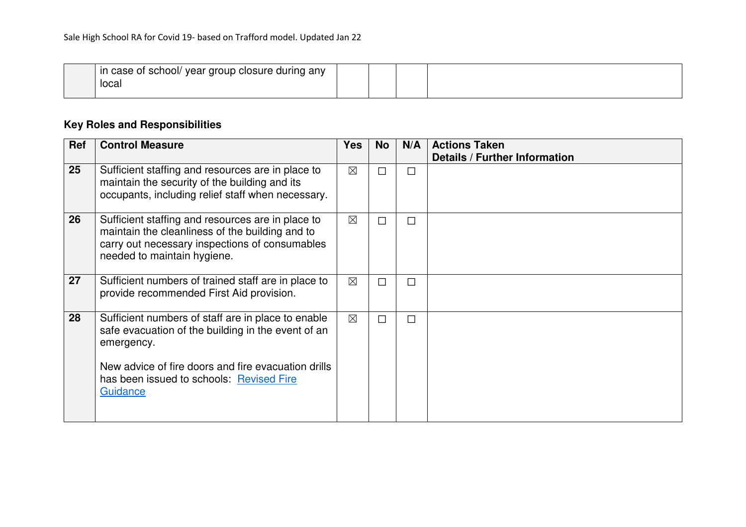| ⊦any<br>year group closure during /<br>case of school/<br>ın |  |  |
|--------------------------------------------------------------|--|--|
| local                                                        |  |  |
|                                                              |  |  |

# **Key Roles and Responsibilities**

| <b>Ref</b> | <b>Control Measure</b>                                                                                                                                                                                                                | <b>Yes</b>  | <b>No</b> | N/A    | <b>Actions Taken</b>                 |
|------------|---------------------------------------------------------------------------------------------------------------------------------------------------------------------------------------------------------------------------------------|-------------|-----------|--------|--------------------------------------|
|            |                                                                                                                                                                                                                                       |             |           |        | <b>Details / Further Information</b> |
| 25         | Sufficient staffing and resources are in place to<br>maintain the security of the building and its<br>occupants, including relief staff when necessary.                                                                               | $\boxtimes$ | $\Box$    | П      |                                      |
| 26         | Sufficient staffing and resources are in place to<br>maintain the cleanliness of the building and to<br>carry out necessary inspections of consumables<br>needed to maintain hygiene.                                                 | $\boxtimes$ | П         | П      |                                      |
| 27         | Sufficient numbers of trained staff are in place to<br>provide recommended First Aid provision.                                                                                                                                       | $\boxtimes$ | $\Box$    | $\Box$ |                                      |
| 28         | Sufficient numbers of staff are in place to enable<br>safe evacuation of the building in the event of an<br>emergency.<br>New advice of fire doors and fire evacuation drills<br>has been issued to schools: Revised Fire<br>Guidance | $\times$    | $\Box$    | $\Box$ |                                      |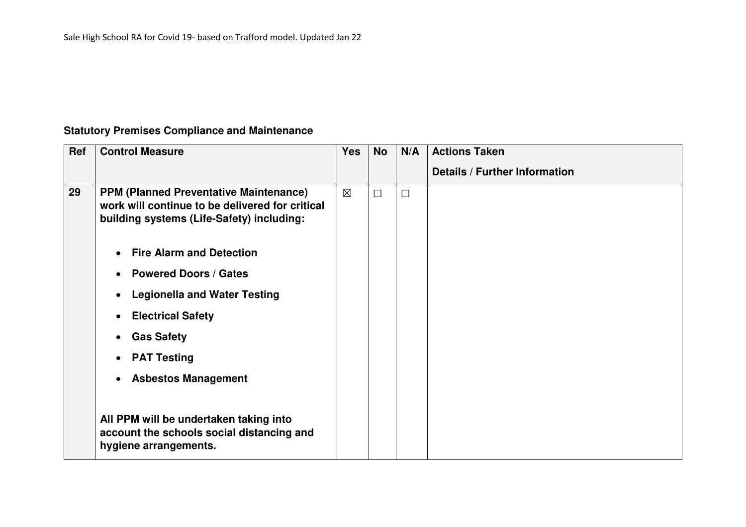## **Statutory Premises Compliance and Maintenance**

| Ref | <b>Control Measure</b>                                                                                                                        | <b>Yes</b>  | <b>No</b> | N/A    | <b>Actions Taken</b>                 |
|-----|-----------------------------------------------------------------------------------------------------------------------------------------------|-------------|-----------|--------|--------------------------------------|
|     |                                                                                                                                               |             |           |        | <b>Details / Further Information</b> |
| 29  | <b>PPM (Planned Preventative Maintenance)</b><br>work will continue to be delivered for critical<br>building systems (Life-Safety) including: | $\boxtimes$ | $\Box$    | $\Box$ |                                      |
|     | <b>Fire Alarm and Detection</b><br>$\bullet$                                                                                                  |             |           |        |                                      |
|     | <b>Powered Doors / Gates</b><br>$\bullet$                                                                                                     |             |           |        |                                      |
|     | <b>Legionella and Water Testing</b><br>$\bullet$                                                                                              |             |           |        |                                      |
|     | <b>Electrical Safety</b><br>$\bullet$                                                                                                         |             |           |        |                                      |
|     | <b>Gas Safety</b><br>$\bullet$                                                                                                                |             |           |        |                                      |
|     | <b>PAT Testing</b><br>$\bullet$                                                                                                               |             |           |        |                                      |
|     | <b>Asbestos Management</b><br>$\bullet$                                                                                                       |             |           |        |                                      |
|     | All PPM will be undertaken taking into<br>account the schools social distancing and<br>hygiene arrangements.                                  |             |           |        |                                      |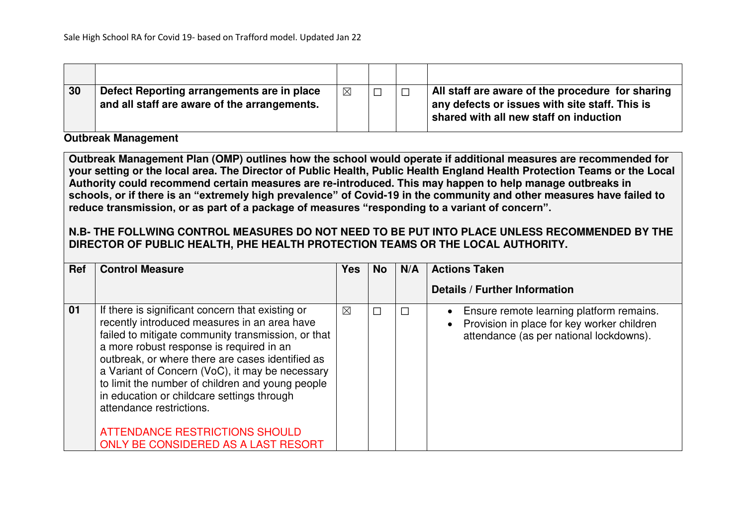| 30 | Defect Reporting arrangements are in place<br>and all staff are aware of the arrangements. | $\boxtimes$ |  | All staff are aware of the procedure for sharing<br>any defects or issues with site staff. This is<br>shared with all new staff on induction |
|----|--------------------------------------------------------------------------------------------|-------------|--|----------------------------------------------------------------------------------------------------------------------------------------------|

#### **Outbreak Management**

**Outbreak Management Plan (OMP) outlines how the school would operate if additional measures are recommended for your setting or the local area. The Director of Public Health, Public Health England Health Protection Teams or the Local Authority could recommend certain measures are re-introduced. This may happen to help manage outbreaks in schools, or if there is an "extremely high prevalence" of Covid-19 in the community and other measures have failed to reduce transmission, or as part of a package of measures "responding to a variant of concern".**

## **N.B- THE FOLLWING CONTROL MEASURES DO NOT NEED TO BE PUT INTO PLACE UNLESS RECOMMENDED BY THE DIRECTOR OF PUBLIC HEALTH, PHE HEALTH PROTECTION TEAMS OR THE LOCAL AUTHORITY.**

| Ref | <b>Control Measure</b>                                                                                                                                                                                                                                                                                                                                                                                                                                                                                                  | <b>Yes</b>  | <b>No</b> | N/A | <b>Actions Taken</b>                                                                                                                  |
|-----|-------------------------------------------------------------------------------------------------------------------------------------------------------------------------------------------------------------------------------------------------------------------------------------------------------------------------------------------------------------------------------------------------------------------------------------------------------------------------------------------------------------------------|-------------|-----------|-----|---------------------------------------------------------------------------------------------------------------------------------------|
|     |                                                                                                                                                                                                                                                                                                                                                                                                                                                                                                                         |             |           |     | <b>Details / Further Information</b>                                                                                                  |
| 01  | If there is significant concern that existing or<br>recently introduced measures in an area have<br>failed to mitigate community transmission, or that<br>a more robust response is required in an<br>outbreak, or where there are cases identified as<br>a Variant of Concern (VoC), it may be necessary<br>to limit the number of children and young people<br>in education or childcare settings through<br>attendance restrictions.<br><b>ATTENDANCE RESTRICTIONS SHOULD</b><br>ONLY BE CONSIDERED AS A LAST RESORT | $\boxtimes$ | $\Box$    |     | • Ensure remote learning platform remains.<br>• Provision in place for key worker children<br>attendance (as per national lockdowns). |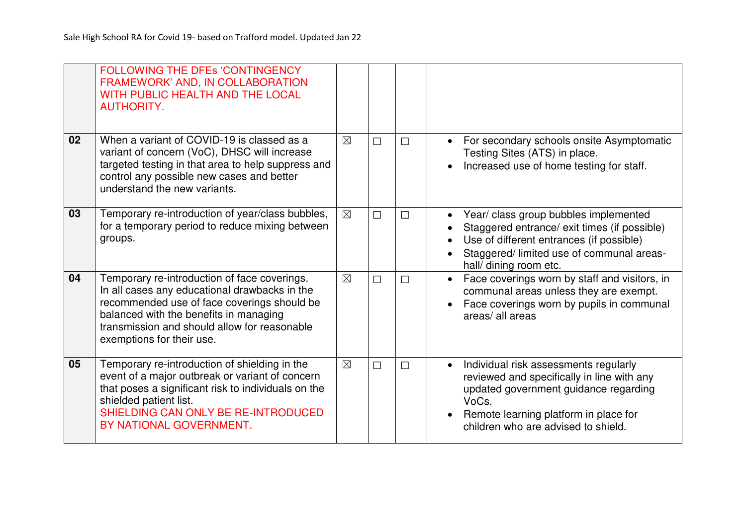|    | <b>FOLLOWING THE DFES 'CONTINGENCY</b><br>FRAMEWORK' AND, IN COLLABORATION<br>WITH PUBLIC HEALTH AND THE LOCAL<br><b>AUTHORITY.</b>                                                                                                                                 |             |        |        |                                                                                                                                                                                                                                    |
|----|---------------------------------------------------------------------------------------------------------------------------------------------------------------------------------------------------------------------------------------------------------------------|-------------|--------|--------|------------------------------------------------------------------------------------------------------------------------------------------------------------------------------------------------------------------------------------|
| 02 | When a variant of COVID-19 is classed as a<br>variant of concern (VoC), DHSC will increase<br>targeted testing in that area to help suppress and<br>control any possible new cases and better<br>understand the new variants.                                       | $\boxtimes$ | $\Box$ | $\Box$ | For secondary schools onsite Asymptomatic<br>$\bullet$<br>Testing Sites (ATS) in place.<br>Increased use of home testing for staff.                                                                                                |
| 03 | Temporary re-introduction of year/class bubbles,<br>for a temporary period to reduce mixing between<br>groups.                                                                                                                                                      | $\boxtimes$ | $\Box$ | $\Box$ | Year/ class group bubbles implemented<br>$\bullet$<br>Staggered entrance/ exit times (if possible)<br>Use of different entrances (if possible)<br>Staggered/ limited use of communal areas-<br>hall/ dining room etc.              |
| 04 | Temporary re-introduction of face coverings.<br>In all cases any educational drawbacks in the<br>recommended use of face coverings should be<br>balanced with the benefits in managing<br>transmission and should allow for reasonable<br>exemptions for their use. | $\boxtimes$ | $\Box$ | $\Box$ | Face coverings worn by staff and visitors, in<br>$\bullet$<br>communal areas unless they are exempt.<br>Face coverings worn by pupils in communal<br>$\bullet$<br>areas/ all areas                                                 |
| 05 | Temporary re-introduction of shielding in the<br>event of a major outbreak or variant of concern<br>that poses a significant risk to individuals on the<br>shielded patient list.<br>SHIELDING CAN ONLY BE RE-INTRODUCED<br>BY NATIONAL GOVERNMENT.                 | $\boxtimes$ | $\Box$ | $\Box$ | Individual risk assessments regularly<br>$\bullet$<br>reviewed and specifically in line with any<br>updated government guidance regarding<br>VoCs.<br>Remote learning platform in place for<br>children who are advised to shield. |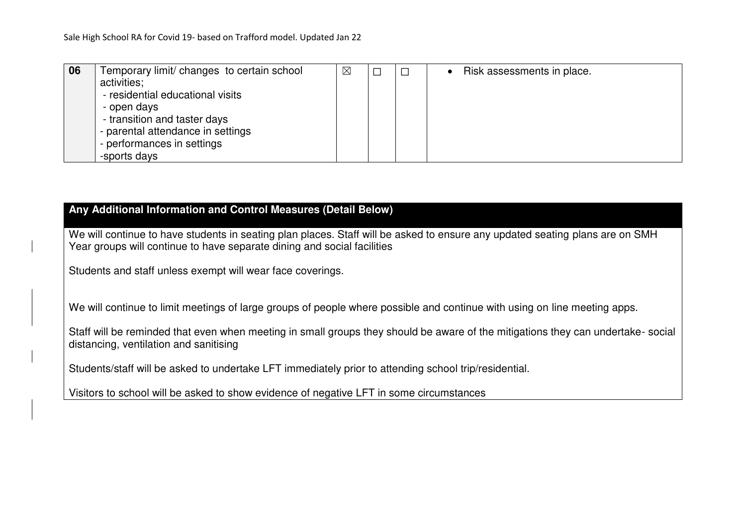| 06 | Temporary limit/ changes to certain school | $\boxtimes$ |  | Risk assessments in place. |
|----|--------------------------------------------|-------------|--|----------------------------|
|    | activities;                                |             |  |                            |
|    | - residential educational visits           |             |  |                            |
|    | - open days                                |             |  |                            |
|    | - transition and taster days               |             |  |                            |
|    | - parental attendance in settings          |             |  |                            |
|    | - performances in settings                 |             |  |                            |
|    | -sports days                               |             |  |                            |

### **Any Additional Information and Control Measures (Detail Below)**

We will continue to have students in seating plan places. Staff will be asked to ensure any updated seating plans are on SMH Year groups will continue to have separate dining and social facilities

Students and staff unless exempt will wear face coverings.

We will continue to limit meetings of large groups of people where possible and continue with using on line meeting apps.

Staff will be reminded that even when meeting in small groups they should be aware of the mitigations they can undertake- social distancing, ventilation and sanitising

Students/staff will be asked to undertake LFT immediately prior to attending school trip/residential.

Visitors to school will be asked to show evidence of negative LFT in some circumstances